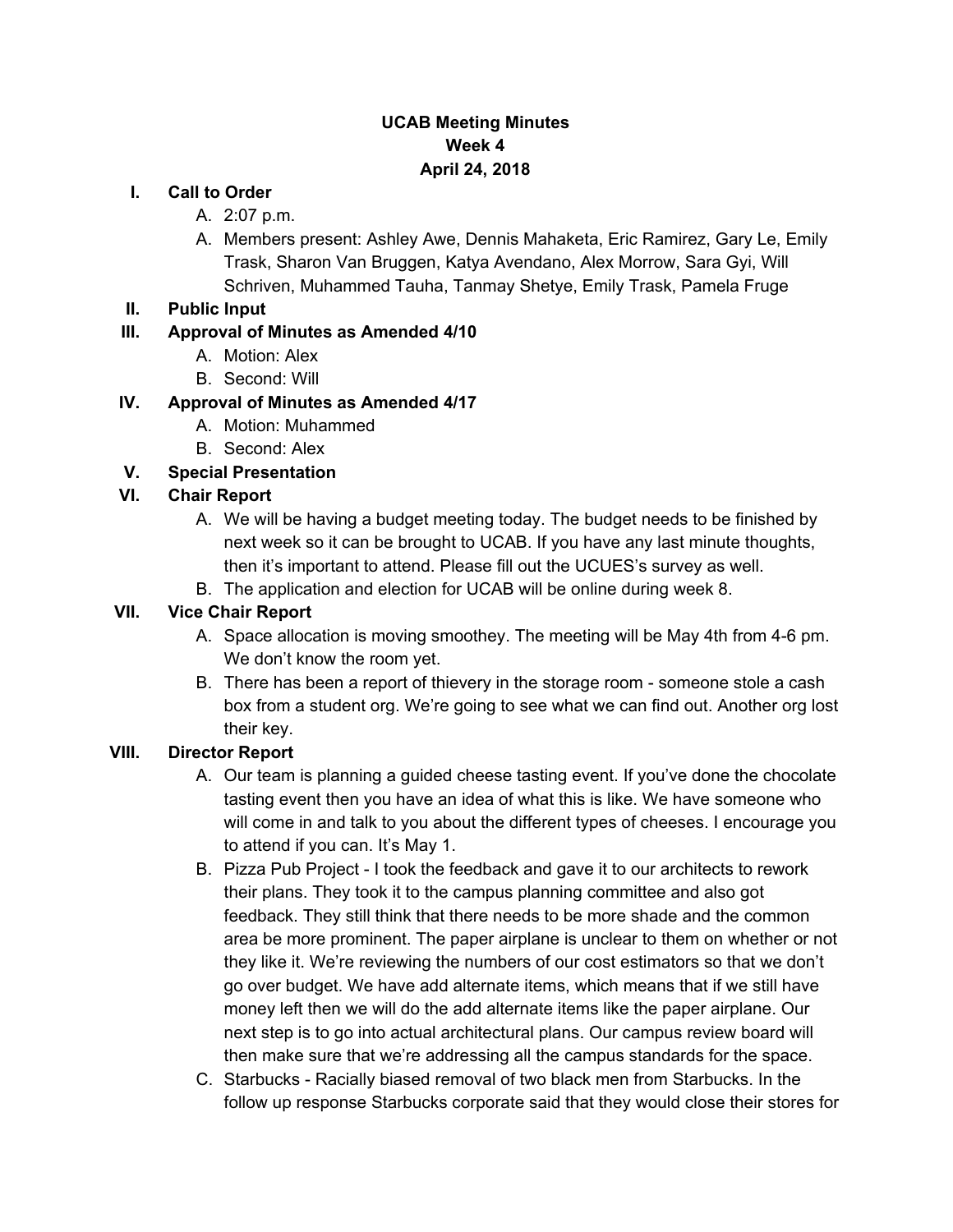## **UCAB Meeting Minutes Week 4 April 24, 2018**

#### **I. Call to Order**

- A. 2:07 p.m.
- A. Members present: Ashley Awe, Dennis Mahaketa, Eric Ramirez, Gary Le, Emily Trask, Sharon Van Bruggen, Katya Avendano, Alex Morrow, Sara Gyi, Will Schriven, Muhammed Tauha, Tanmay Shetye, Emily Trask, Pamela Fruge
- **II. Public Input**

## **III. Approval of Minutes as Amended 4/10**

- A. Motion: Alex
- B. Second: Will

## **IV. Approval of Minutes as Amended 4/17**

- A. Motion: Muhammed
- B. Second: Alex

## **V. Special Presentation**

## **VI. Chair Report**

- A. We will be having a budget meeting today. The budget needs to be finished by next week so it can be brought to UCAB. If you have any last minute thoughts, then it's important to attend. Please fill out the UCUES's survey as well.
- B. The application and election for UCAB will be online during week 8.

### **VII. Vice Chair Report**

- A. Space allocation is moving smoothey. The meeting will be May 4th from 4-6 pm. We don't know the room yet.
- B. There has been a report of thievery in the storage room someone stole a cash box from a student org. We're going to see what we can find out. Another org lost their key.

#### **VIII. Director Report**

- A. Our team is planning a guided cheese tasting event. If you've done the chocolate tasting event then you have an idea of what this is like. We have someone who will come in and talk to you about the different types of cheeses. I encourage you to attend if you can. It's May 1.
- B. Pizza Pub Project I took the feedback and gave it to our architects to rework their plans. They took it to the campus planning committee and also got feedback. They still think that there needs to be more shade and the common area be more prominent. The paper airplane is unclear to them on whether or not they like it. We're reviewing the numbers of our cost estimators so that we don't go over budget. We have add alternate items, which means that if we still have money left then we will do the add alternate items like the paper airplane. Our next step is to go into actual architectural plans. Our campus review board will then make sure that we're addressing all the campus standards for the space.
- C. Starbucks Racially biased removal of two black men from Starbucks. In the follow up response Starbucks corporate said that they would close their stores for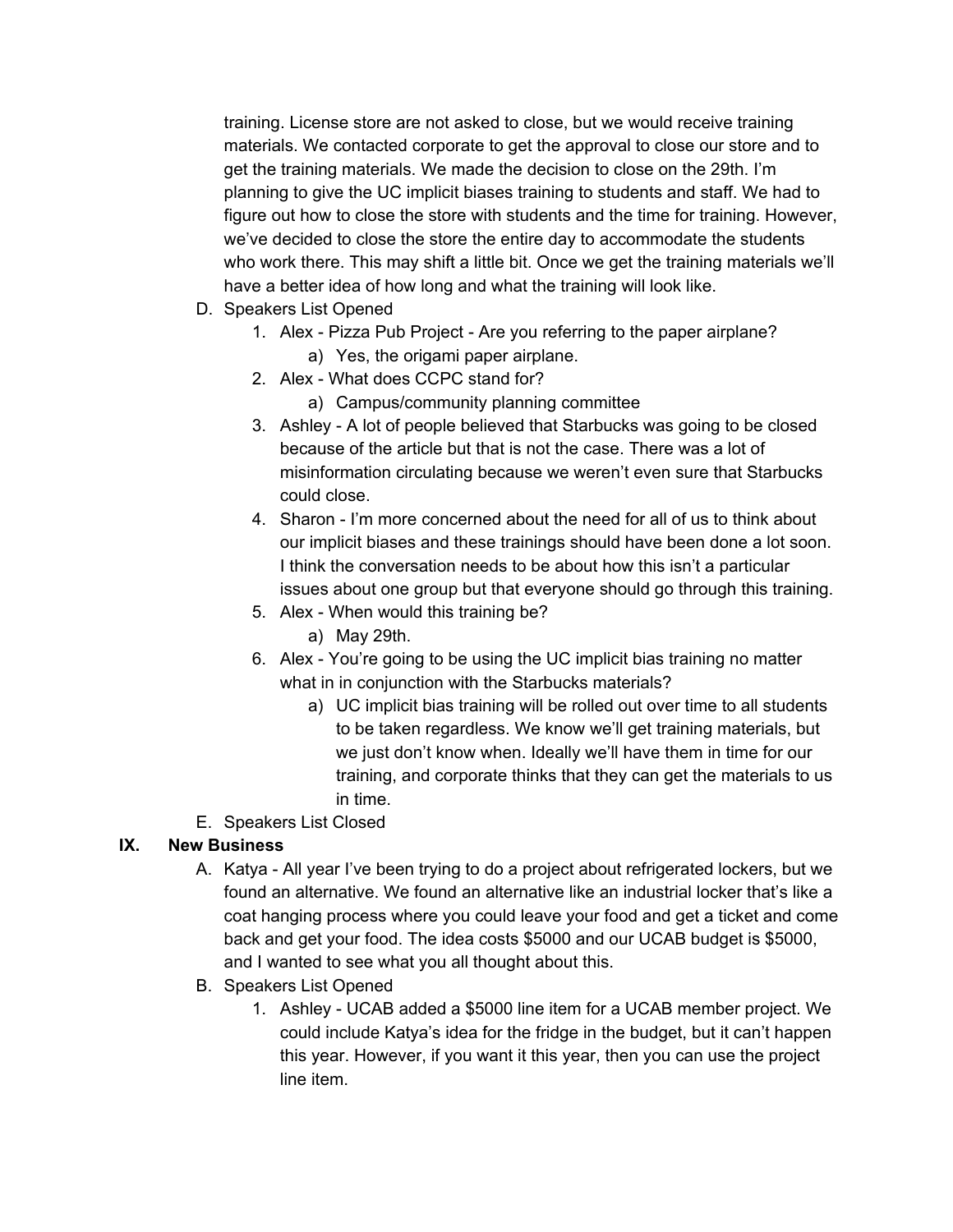training. License store are not asked to close, but we would receive training materials. We contacted corporate to get the approval to close our store and to get the training materials. We made the decision to close on the 29th. I'm planning to give the UC implicit biases training to students and staff. We had to figure out how to close the store with students and the time for training. However, we've decided to close the store the entire day to accommodate the students who work there. This may shift a little bit. Once we get the training materials we'll have a better idea of how long and what the training will look like.

- D. Speakers List Opened
	- 1. Alex Pizza Pub Project Are you referring to the paper airplane? a) Yes, the origami paper airplane.
	- 2. Alex What does CCPC stand for?
		- a) Campus/community planning committee
	- 3. Ashley A lot of people believed that Starbucks was going to be closed because of the article but that is not the case. There was a lot of misinformation circulating because we weren't even sure that Starbucks could close.
	- 4. Sharon I'm more concerned about the need for all of us to think about our implicit biases and these trainings should have been done a lot soon. I think the conversation needs to be about how this isn't a particular issues about one group but that everyone should go through this training.
	- 5. Alex When would this training be?
		- a) May 29th.
	- 6. Alex You're going to be using the UC implicit bias training no matter what in in conjunction with the Starbucks materials?
		- a) UC implicit bias training will be rolled out over time to all students to be taken regardless. We know we'll get training materials, but we just don't know when. Ideally we'll have them in time for our training, and corporate thinks that they can get the materials to us in time.
- E. Speakers List Closed

#### **IX. New Business**

- A. Katya All year I've been trying to do a project about refrigerated lockers, but we found an alternative. We found an alternative like an industrial locker that's like a coat hanging process where you could leave your food and get a ticket and come back and get your food. The idea costs \$5000 and our UCAB budget is \$5000, and I wanted to see what you all thought about this.
- B. Speakers List Opened
	- 1. Ashley UCAB added a \$5000 line item for a UCAB member project. We could include Katya's idea for the fridge in the budget, but it can't happen this year. However, if you want it this year, then you can use the project line item.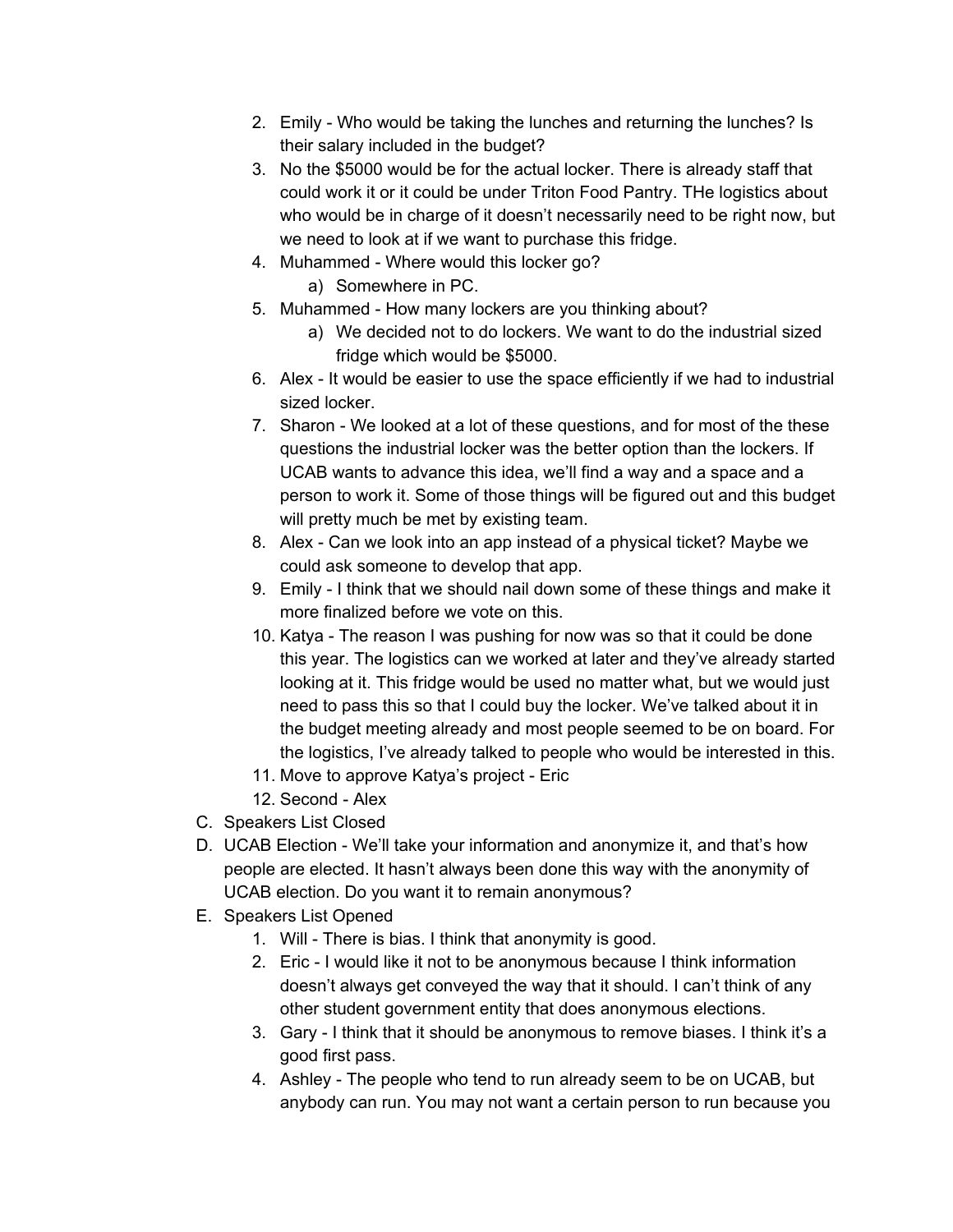- 2. Emily Who would be taking the lunches and returning the lunches? Is their salary included in the budget?
- 3. No the \$5000 would be for the actual locker. There is already staff that could work it or it could be under Triton Food Pantry. THe logistics about who would be in charge of it doesn't necessarily need to be right now, but we need to look at if we want to purchase this fridge.
- 4. Muhammed Where would this locker go?
	- a) Somewhere in PC.
- 5. Muhammed How many lockers are you thinking about?
	- a) We decided not to do lockers. We want to do the industrial sized fridge which would be \$5000.
- 6. Alex It would be easier to use the space efficiently if we had to industrial sized locker.
- 7. Sharon We looked at a lot of these questions, and for most of the these questions the industrial locker was the better option than the lockers. If UCAB wants to advance this idea, we'll find a way and a space and a person to work it. Some of those things will be figured out and this budget will pretty much be met by existing team.
- 8. Alex Can we look into an app instead of a physical ticket? Maybe we could ask someone to develop that app.
- 9. Emily I think that we should nail down some of these things and make it more finalized before we vote on this.
- 10. Katya The reason I was pushing for now was so that it could be done this year. The logistics can we worked at later and they've already started looking at it. This fridge would be used no matter what, but we would just need to pass this so that I could buy the locker. We've talked about it in the budget meeting already and most people seemed to be on board. For the logistics, I've already talked to people who would be interested in this.
- 11. Move to approve Katya's project Eric
- 12. Second Alex
- C. Speakers List Closed
- D. UCAB Election We'll take your information and anonymize it, and that's how people are elected. It hasn't always been done this way with the anonymity of UCAB election. Do you want it to remain anonymous?
- E. Speakers List Opened
	- 1. Will There is bias. I think that anonymity is good.
	- 2. Eric I would like it not to be anonymous because I think information doesn't always get conveyed the way that it should. I can't think of any other student government entity that does anonymous elections.
	- 3. Gary I think that it should be anonymous to remove biases. I think it's a good first pass.
	- 4. Ashley The people who tend to run already seem to be on UCAB, but anybody can run. You may not want a certain person to run because you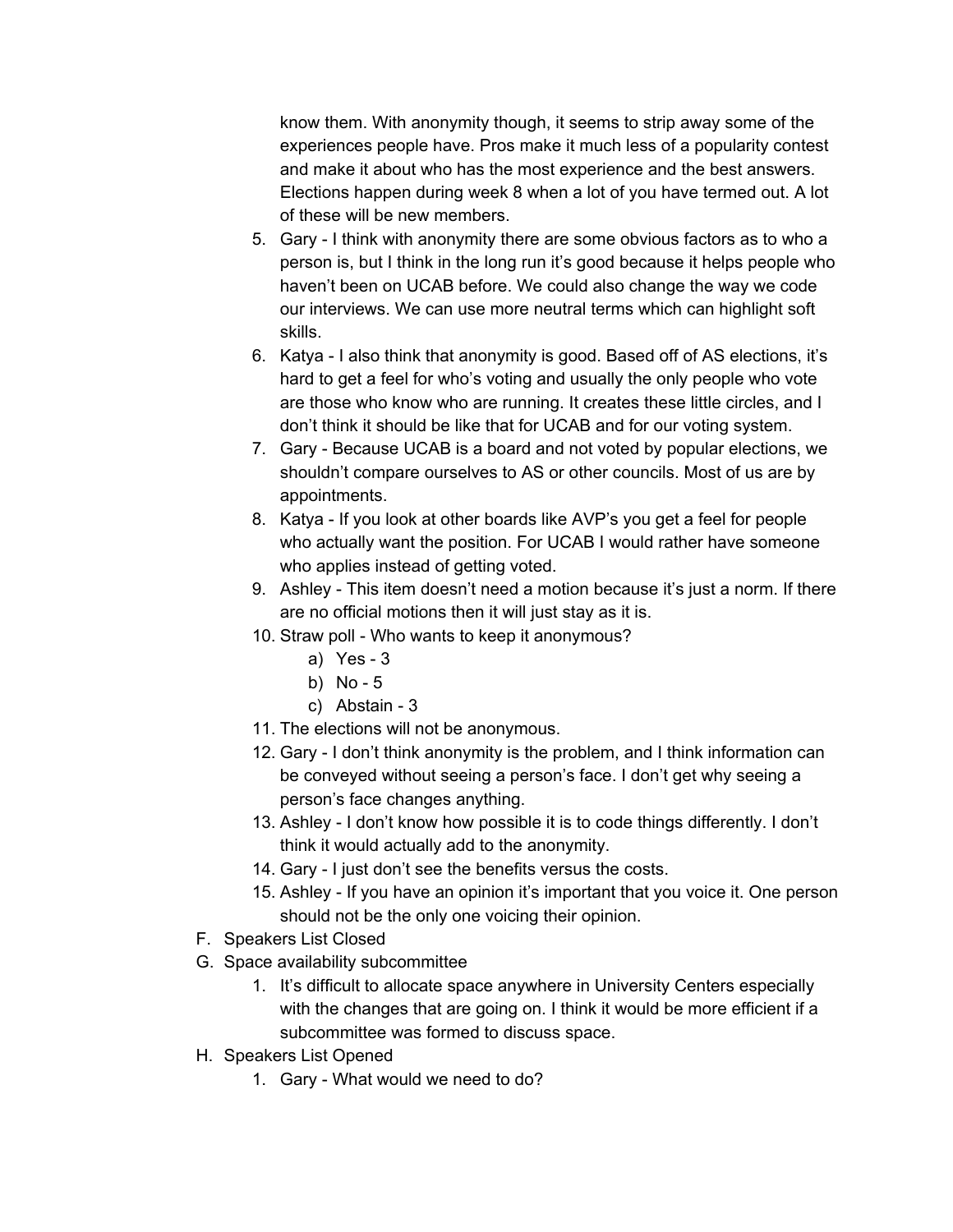know them. With anonymity though, it seems to strip away some of the experiences people have. Pros make it much less of a popularity contest and make it about who has the most experience and the best answers. Elections happen during week 8 when a lot of you have termed out. A lot of these will be new members.

- 5. Gary I think with anonymity there are some obvious factors as to who a person is, but I think in the long run it's good because it helps people who haven't been on UCAB before. We could also change the way we code our interviews. We can use more neutral terms which can highlight soft skills.
- 6. Katya I also think that anonymity is good. Based off of AS elections, it's hard to get a feel for who's voting and usually the only people who vote are those who know who are running. It creates these little circles, and I don't think it should be like that for UCAB and for our voting system.
- 7. Gary Because UCAB is a board and not voted by popular elections, we shouldn't compare ourselves to AS or other councils. Most of us are by appointments.
- 8. Katya If you look at other boards like AVP's you get a feel for people who actually want the position. For UCAB I would rather have someone who applies instead of getting voted.
- 9. Ashley This item doesn't need a motion because it's just a norm. If there are no official motions then it will just stay as it is.
- 10. Straw poll Who wants to keep it anonymous?
	- a) Yes 3
	- b) No 5
	- c) Abstain 3
- 11. The elections will not be anonymous.
- 12. Gary I don't think anonymity is the problem, and I think information can be conveyed without seeing a person's face. I don't get why seeing a person's face changes anything.
- 13. Ashley I don't know how possible it is to code things differently. I don't think it would actually add to the anonymity.
- 14. Gary I just don't see the benefits versus the costs.
- 15. Ashley If you have an opinion it's important that you voice it. One person should not be the only one voicing their opinion.
- F. Speakers List Closed
- G. Space availability subcommittee
	- 1. It's difficult to allocate space anywhere in University Centers especially with the changes that are going on. I think it would be more efficient if a subcommittee was formed to discuss space.
- H. Speakers List Opened
	- 1. Gary What would we need to do?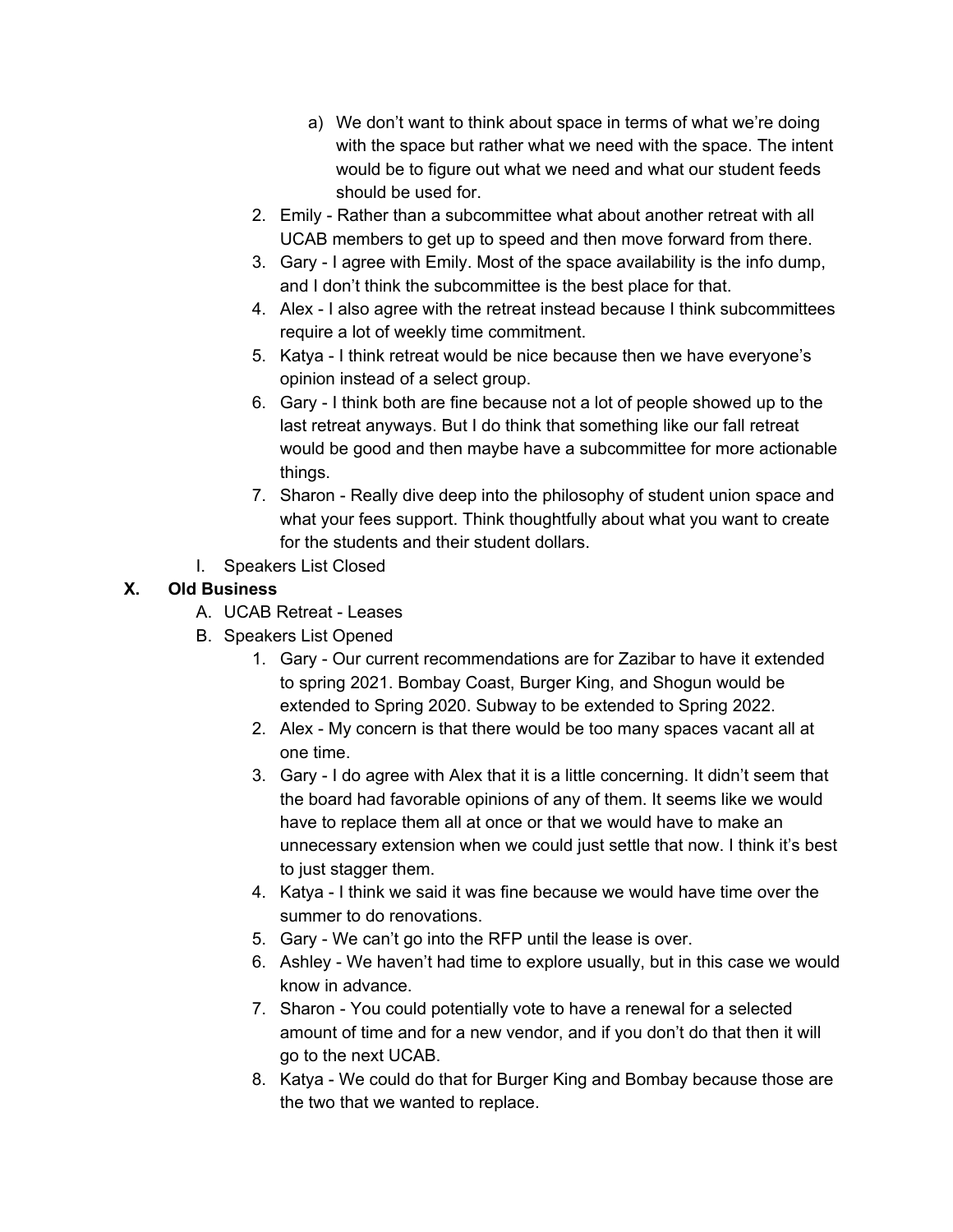- a) We don't want to think about space in terms of what we're doing with the space but rather what we need with the space. The intent would be to figure out what we need and what our student feeds should be used for.
- 2. Emily Rather than a subcommittee what about another retreat with all UCAB members to get up to speed and then move forward from there.
- 3. Gary I agree with Emily. Most of the space availability is the info dump, and I don't think the subcommittee is the best place for that.
- 4. Alex I also agree with the retreat instead because I think subcommittees require a lot of weekly time commitment.
- 5. Katya I think retreat would be nice because then we have everyone's opinion instead of a select group.
- 6. Gary I think both are fine because not a lot of people showed up to the last retreat anyways. But I do think that something like our fall retreat would be good and then maybe have a subcommittee for more actionable things.
- 7. Sharon Really dive deep into the philosophy of student union space and what your fees support. Think thoughtfully about what you want to create for the students and their student dollars.
- I. Speakers List Closed

# **X. Old Business**

- A. UCAB Retreat Leases
- B. Speakers List Opened
	- 1. Gary Our current recommendations are for Zazibar to have it extended to spring 2021. Bombay Coast, Burger King, and Shogun would be extended to Spring 2020. Subway to be extended to Spring 2022.
	- 2. Alex My concern is that there would be too many spaces vacant all at one time.
	- 3. Gary I do agree with Alex that it is a little concerning. It didn't seem that the board had favorable opinions of any of them. It seems like we would have to replace them all at once or that we would have to make an unnecessary extension when we could just settle that now. I think it's best to just stagger them.
	- 4. Katya I think we said it was fine because we would have time over the summer to do renovations.
	- 5. Gary We can't go into the RFP until the lease is over.
	- 6. Ashley We haven't had time to explore usually, but in this case we would know in advance.
	- 7. Sharon You could potentially vote to have a renewal for a selected amount of time and for a new vendor, and if you don't do that then it will go to the next UCAB.
	- 8. Katya We could do that for Burger King and Bombay because those are the two that we wanted to replace.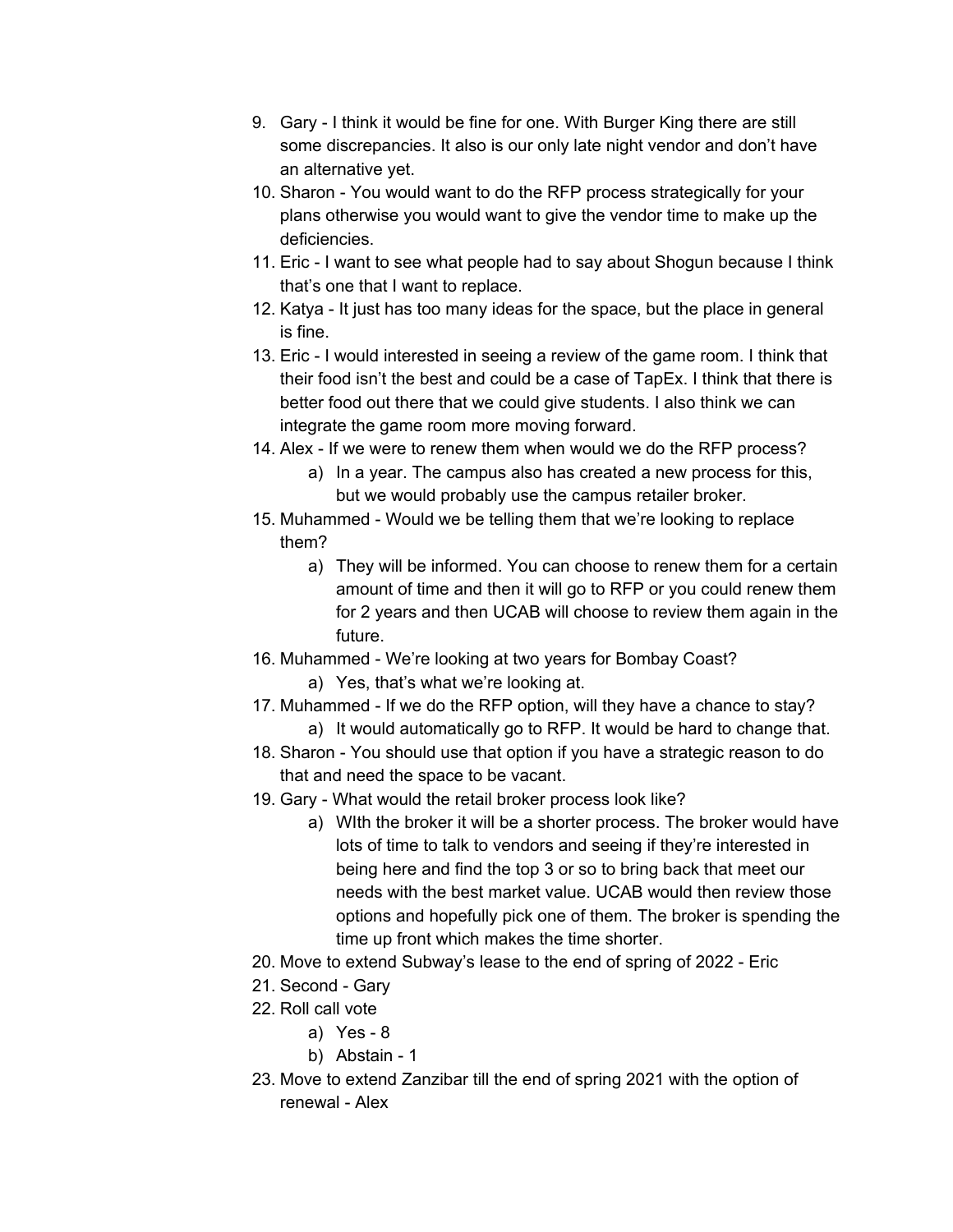- 9. Gary I think it would be fine for one. With Burger King there are still some discrepancies. It also is our only late night vendor and don't have an alternative yet.
- 10. Sharon You would want to do the RFP process strategically for your plans otherwise you would want to give the vendor time to make up the deficiencies.
- 11. Eric I want to see what people had to say about Shogun because I think that's one that I want to replace.
- 12. Katya It just has too many ideas for the space, but the place in general is fine.
- 13. Eric I would interested in seeing a review of the game room. I think that their food isn't the best and could be a case of TapEx. I think that there is better food out there that we could give students. I also think we can integrate the game room more moving forward.
- 14. Alex If we were to renew them when would we do the RFP process?
	- a) In a year. The campus also has created a new process for this, but we would probably use the campus retailer broker.
- 15. Muhammed Would we be telling them that we're looking to replace them?
	- a) They will be informed. You can choose to renew them for a certain amount of time and then it will go to RFP or you could renew them for 2 years and then UCAB will choose to review them again in the future.
- 16. Muhammed We're looking at two years for Bombay Coast?
	- a) Yes, that's what we're looking at.
- 17. Muhammed If we do the RFP option, will they have a chance to stay?
	- a) It would automatically go to RFP. It would be hard to change that.
- 18. Sharon You should use that option if you have a strategic reason to do that and need the space to be vacant.
- 19. Gary What would the retail broker process look like?
	- a) WIth the broker it will be a shorter process. The broker would have lots of time to talk to vendors and seeing if they're interested in being here and find the top 3 or so to bring back that meet our needs with the best market value. UCAB would then review those options and hopefully pick one of them. The broker is spending the time up front which makes the time shorter.
- 20. Move to extend Subway's lease to the end of spring of 2022 Eric
- 21. Second Gary
- 22. Roll call vote
	- a) Yes 8
	- b) Abstain 1
- 23. Move to extend Zanzibar till the end of spring 2021 with the option of renewal - Alex